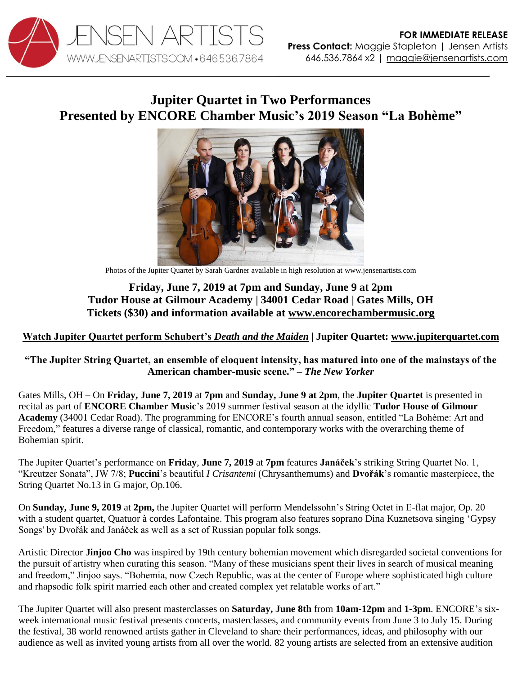

# **Jupiter Quartet in Two Performances Presented by ENCORE Chamber Music's 2019 Season "La Bohème"**



Photos of the Jupiter Quartet by Sarah Gardner available in high resolution at www.jensenartists.com

## **Friday, June 7, 2019 at 7pm and Sunday, June 9 at 2pm Tudor House at Gilmour Academy | 34001 Cedar Road | Gates Mills, OH Tickets (\$30) and information available at [www.encorechambermusic.org](http://www.encorechambermusic.org/concertschedule/2019/6/7/friday-evening-jupiter-string-quartet)**

### **[Watch Jupiter Quartet perform Schubert's](https://vimeo.com/115453429)** *Death and the Maiden* **| Jupiter Quartet: [www.jupiterquartet.com](http://www.jupiterquartet.com/)**

#### **"The Jupiter String Quartet, an ensemble of eloquent intensity, has matured into one of the mainstays of the American chamber-music scene." –** *The New Yorker*

Gates Mills, OH – On **Friday, June 7, 2019** at **7pm** and **Sunday, June 9 at 2pm**, the **Jupiter Quartet** is presented in recital as part of **ENCORE Chamber Music**'s 2019 summer festival season at the idyllic **Tudor House of Gilmour Academy** (34001 Cedar Road). The programming for ENCORE's fourth annual season, entitled "La Bohème: Art and Freedom," features a diverse range of classical, romantic, and contemporary works with the overarching theme of Bohemian spirit.

The Jupiter Quartet's performance on **Friday**, **June 7, 2019** at **7pm** features **Janáček**'s striking String Quartet No. 1, "Kreutzer Sonata", JW 7/8; **Puccini**'s beautiful *I Crisantemi* (Chrysanthemums) and **Dvořák**'s romantic masterpiece, the String Quartet No.13 in G major, Op.106.

On **Sunday, June 9, 2019** at **2pm,** the Jupiter Quartet will perform Mendelssohn's String Octet in E-flat major, Op. 20 with a student quartet, Quatuor à cordes Lafontaine. This program also features soprano Dina Kuznetsova singing 'Gypsy Songs' by Dvořák and Janáček as well as a set of Russian popular folk songs.

Artistic Director **Jinjoo Cho** was inspired by 19th century bohemian movement which disregarded societal conventions for the pursuit of artistry when curating this season. "Many of these musicians spent their lives in search of musical meaning and freedom," Jinjoo says. "Bohemia, now Czech Republic, was at the center of Europe where sophisticated high culture and rhapsodic folk spirit married each other and created complex yet relatable works of art."

The Jupiter Quartet will also present masterclasses on **Saturday, June 8th** from **10am-12pm** and **1-3pm**. ENCORE's sixweek international music festival presents concerts, masterclasses, and community events from June 3 to July 15. During the festival, 38 world renowned artists gather in Cleveland to share their performances, ideas, and philosophy with our audience as well as invited young artists from all over the world. 82 young artists are selected from an extensive audition